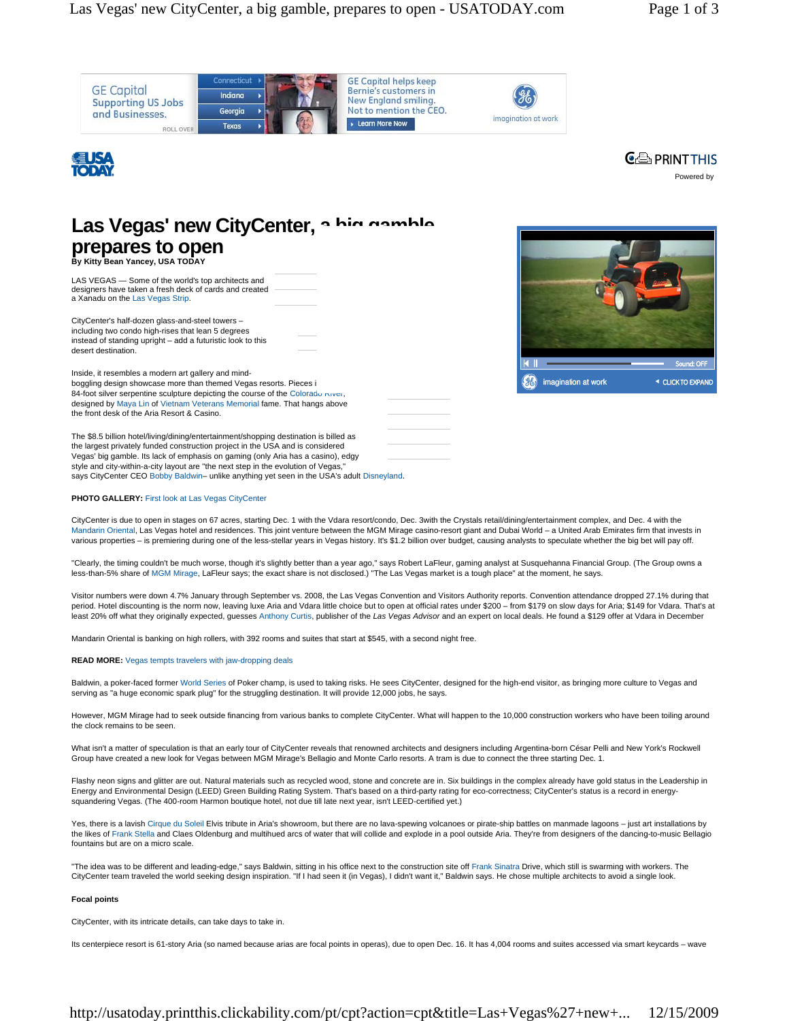





# **By Kitty Bean Yancey, USA TODAY**  Las Vegas' new CityCenter, a hig gamble **prepares to open**

LAS VEGAS — Some of the world's top architects and

designers have taken a fresh deck of cards and created a Xanadu on the Las Vegas Strip.

CityCenter's half-dozen glass-and-steel towers – including two condo high-rises that lean 5 degrees instead of standing upright – add a futuristic look to this desert destination.

Inside, it resembles a modern art gallery and mindboggling design showcase more than themed Vegas resorts. Pieces i 84-foot silver serpentine sculpture depicting the course of the Colorado River, designed by Maya Lin of Vietnam Veterans Memorial fame. That hangs above the front desk of the Aria Resort & Casino.

The \$8.5 billion hotel/living/dining/entertainment/shopping destination is billed as the largest privately funded construction project in the USA and is considered Vegas' big gamble. Its lack of emphasis on gaming (only Aria has a casino), edgy style and city-within-a-city layout are "the next step in the evolution of Vegas, says CityCenter CEO Bobby Baldwin– unlike anything yet seen in the USA's adult Disneyland.





## **PHOTO GALLERY:** First look at Las Vegas CityCenter

CityCenter is due to open in stages on 67 acres, starting Dec. 1 with the Vdara resort/condo, Dec. 3with the Crystals retail/dining/entertainment complex, and Dec. 4 with the Mandarin Oriental, Las Vegas hotel and residences. This joint venture between the MGM Mirage casino-resort giant and Dubai World - a United Arab Emirates firm that invests in various properties – is premiering during one of the less-stellar years in Vegas history. It's \$1.2 billion over budget, causing analysts to speculate whether the big bet will pay off.

"Clearly, the timing couldn't be much worse, though it's slightly better than a year ago," says Robert LaFleur, gaming analyst at Susquehanna Financial Group. (The Group owns a<br>less-than-5% share of MGM Mirage, LaFleur say

Visitor numbers were down 4.7% January through September vs. 2008, the Las Vegas Convention and Visitors Authority reports. Convention attendance dropped 27.1% during that period. Hotel discounting is the norm now, leaving luxe Aria and Vdara little choice but to open at official rates under \$200 – from \$179 on slow days for Aria; \$149 for Vdara. That's at least 20% off what they originally expected, guesses Anthony Curtis, publisher of the *Las Vegas Advisor* and an expert on local deals. He found a \$129 offer at Vdara in December

Mandarin Oriental is banking on high rollers, with 392 rooms and suites that start at \$545, with a second night free.

#### **READ MORE:** Vegas tempts travelers with jaw-dropping deals

Baldwin, a poker-faced former World Series of Poker champ, is used to taking risks. He sees CityCenter, designed for the high-end visitor, as bringing more culture to Vegas and serving as "a huge economic spark plug" for the struggling destination. It will provide 12,000 jobs, he says.

However, MGM Mirage had to seek outside financing from various banks to complete CityCenter. What will happen to the 10,000 construction workers who have been toiling around the clock remains to be seen.

What isn't a matter of speculation is that an early tour of CityCenter reveals that renowned architects and designers including Argentina-born César Pelli and New York's Rockwell Group have created a new look for Vegas between MGM Mirage's Bellagio and Monte Carlo resorts. A tram is due to connect the three starting Dec. 1.

Flashy neon signs and glitter are out. Natural materials such as recycled wood, stone and concrete are in. Six buildings in the complex already have gold status in the Leadership in Energy and Environmental Design (LEED) Green Building Rating System. That's based on a third-party rating for eco-correctness; CityCenter's status is a record in energysquandering Vegas. (The 400-room Harmon boutique hotel, not due till late next year, isn't LEED-certified yet.)

Yes, there is a lavish Cirque du Soleil Elvis tribute in Aria's showroom, but there are no lava-spewing volcanoes or pirate-ship battles on manmade lagoons - just art installations by the likes of Frank Stella and Claes Oldenburg and multihued arcs of water that will collide and explode in a pool outside Aria. They're from designers of the dancing-to-music Bellagio fountains but are on a micro scale.

"The idea was to be different and leading-edge," says Baldwin, sitting in his office next to the construction site off Frank Sinatra Drive, which still is swarming with workers. The CityCenter team traveled the world seeking design inspiration. "If I had seen it (in Vegas), I didn't want it," Baldwin says. He chose multiple architects to avoid a single look.

### **Focal points**

CityCenter, with its intricate details, can take days to take in.

Its centerpiece resort is 61-story Aria (so named because arias are focal points in operas), due to open Dec. 16. It has 4,004 rooms and suites accessed via smart keycards – wave